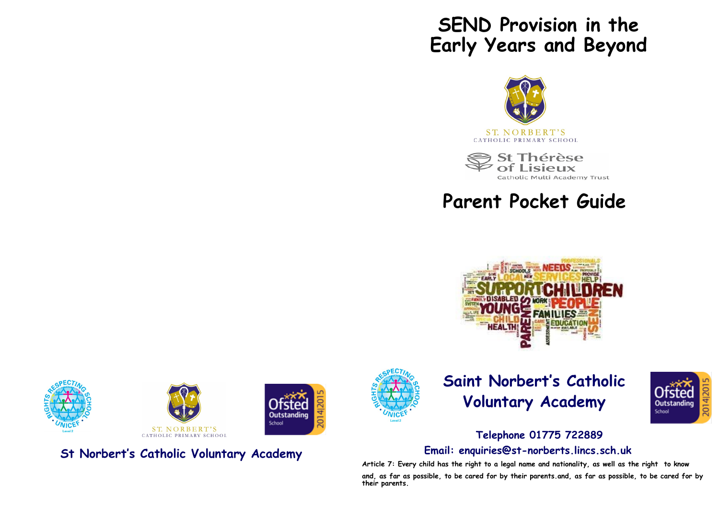## **SEND Provision in the Early Years and Beyond**



**Thérèse** 

Catholic Multi Academy Trust

**Parent Pocket Guide** 









Outstanding School



# **Saint Norbert's Catholic Voluntary Academy**



## **Telephone 01775 722889 Email: enquiries@st-norberts.lincs.sch.uk**

**Article 7: Every child has the right to a legal name and nationality, as well as the right to know and, as far as possible, to be cared for by their parents.and, as far as possible, to be cared for by their parents.**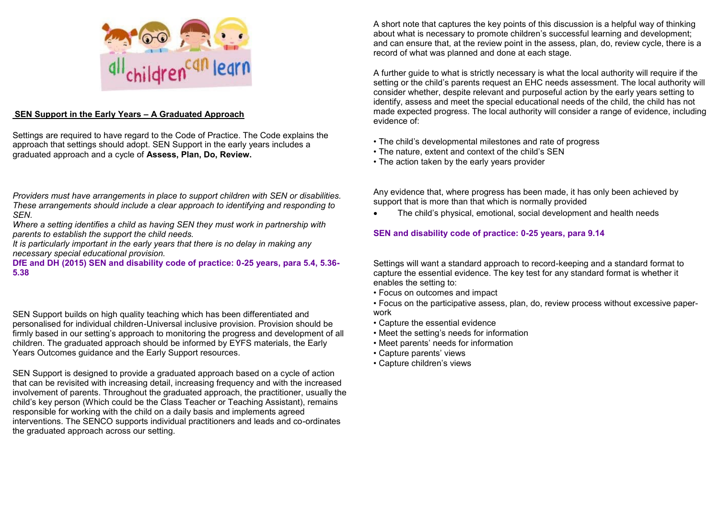

#### **SEN Support in the Early Years – A Graduated Approach**

Settings are required to have regard to the Code of Practice. The Code explains the approach that settings should adopt. SEN Support in the early years includes a graduated approach and a cycle of **Assess, Plan, Do, Review.** 

*Providers must have arrangements in place to support children with SEN or disabilities. These arrangements should include a clear approach to identifying and responding to SEN.* 

*Where a setting identifies a child as having SEN they must work in partnership with parents to establish the support the child needs.* 

*It is particularly important in the early years that there is no delay in making any necessary special educational provision.* 

**DfE and DH (2015) SEN and disability code of practice: 0-25 years, para 5.4, 5.36- 5.38** 

SEN Support builds on high quality teaching which has been differentiated and personalised for individual children-Universal inclusive provision. Provision should be firmly based in our setting's approach to monitoring the progress and development of all children. The graduated approach should be informed by EYFS materials, the Early Years Outcomes guidance and the Early Support resources.

SEN Support is designed to provide a graduated approach based on a cycle of action that can be revisited with increasing detail, increasing frequency and with the increased involvement of parents. Throughout the graduated approach, the practitioner, usually the child's key person (Which could be the Class Teacher or Teaching Assistant), remains responsible for working with the child on a daily basis and implements agreed interventions. The SENCO supports individual practitioners and leads and co-ordinates the graduated approach across our setting.

A short note that captures the key points of this discussion is a helpful way of thinking about what is necessary to promote children's successful learning and development; and can ensure that, at the review point in the assess, plan, do, review cycle, there is a record of what was planned and done at each stage.

A further guide to what is strictly necessary is what the local authority will require if the setting or the child's parents request an EHC needs assessment. The local authority will consider whether, despite relevant and purposeful action by the early years setting to identify, assess and meet the special educational needs of the child, the child has not made expected progress. The local authority will consider a range of evidence, including evidence of:

- The child's developmental milestones and rate of progress
- The nature, extent and context of the child's SEN
- The action taken by the early years provider

Any evidence that, where progress has been made, it has only been achieved by support that is more than that which is normally provided

• The child's physical, emotional, social development and health needs

### **SEN and disability code of practice: 0-25 years, para 9.14**

Settings will want a standard approach to record-keeping and a standard format to capture the essential evidence. The key test for any standard format is whether it enables the setting to:

• Focus on outcomes and impact

• Focus on the participative assess, plan, do, review process without excessive paperwork

- Capture the essential evidence
- Meet the setting's needs for information
- Meet parents' needs for information
- Capture parents' views
- Capture children's views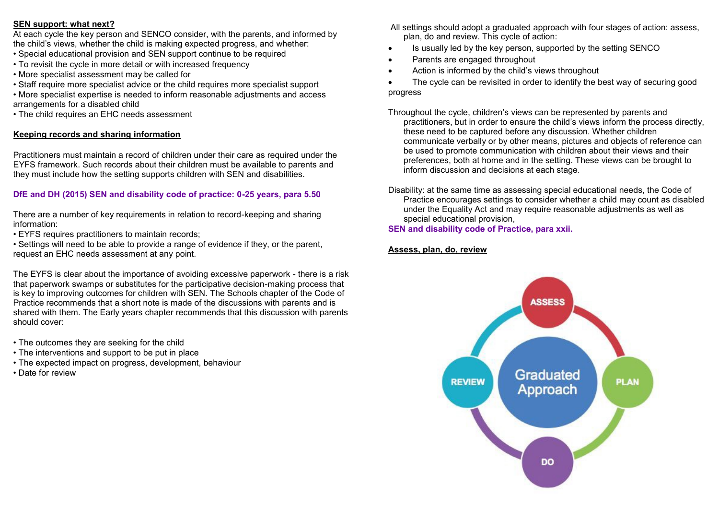#### **SEN support: what next?**

At each cycle the key person and SENCO consider, with the parents, and informed by the child's views, whether the child is making expected progress, and whether:

- Special educational provision and SEN support continue to be required
- To revisit the cycle in more detail or with increased frequency
- More specialist assessment may be called for
- Staff require more specialist advice or the child requires more specialist support
- More specialist expertise is needed to inform reasonable adjustments and access arrangements for a disabled child
- The child requires an EHC needs assessment

## **Keeping records and sharing information**

Practitioners must maintain a record of children under their care as required under the EYFS framework. Such records about their children must be available to parents and they must include how the setting supports children with SEN and disabilities.

## **DfE and DH (2015) SEN and disability code of practice: 0-25 years, para 5.50**

There are a number of key requirements in relation to record-keeping and sharing information:

• EYFS requires practitioners to maintain records;

• Settings will need to be able to provide a range of evidence if they, or the parent, request an EHC needs assessment at any point.

The EYFS is clear about the importance of avoiding excessive paperwork - there is a risk that paperwork swamps or substitutes for the participative decision-making process that is key to improving outcomes for children with SEN. The Schools chapter of the Code of Practice recommends that a short note is made of the discussions with parents and is shared with them. The Early years chapter recommends that this discussion with parents should cover:

- The outcomes they are seeking for the child
- The interventions and support to be put in place
- The expected impact on progress, development, behaviour
- Date for review

All settings should adopt a graduated approach with four stages of action: assess, plan, do and review. This cycle of action:

- Is usually led by the key person, supported by the setting SENCO
- Parents are engaged throughout
- Action is informed by the child's views throughout

The cycle can be revisited in order to identify the best way of securing good progress

- Throughout the cycle, children's views can be represented by parents and practitioners, but in order to ensure the child's views inform the process directly, these need to be captured before any discussion. Whether children communicate verbally or by other means, pictures and objects of reference can be used to promote communication with children about their views and their preferences, both at home and in the setting. These views can be brought to inform discussion and decisions at each stage.
- Disability: at the same time as assessing special educational needs, the Code of Practice encourages settings to consider whether a child may count as disabled under the Equality Act and may require reasonable adjustments as well as special educational provision,

**SEN and disability code of Practice, para xxii.** 

#### **Assess, plan, do, review**